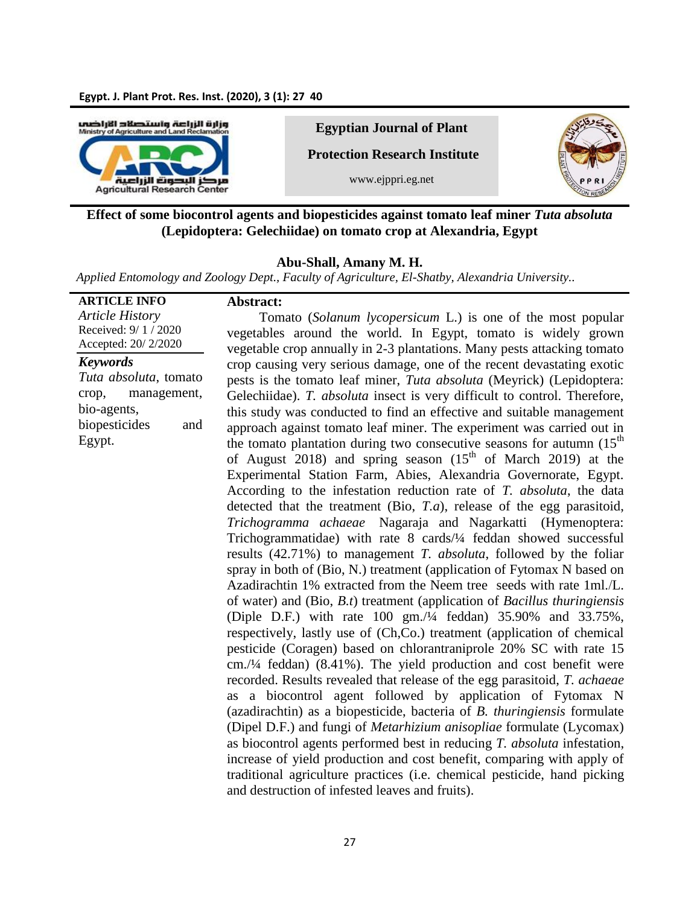

**Egyptian Journal of Plant**

**Protection Research Institute**

www.ejppri.eg.net



# **Effect of some biocontrol agents and biopesticides against tomato leaf miner** *Tuta absoluta*  **(Lepidoptera: Gelechiidae) on tomato crop at Alexandria, Egypt**

### **Abu-Shall, Amany M. H.**

*Applied Entomology and Zoology Dept., Faculty of Agriculture, El-Shatby, Alexandria University..* 

| <b>ARTICLE INFO</b>    | Abstract:                                                                           |
|------------------------|-------------------------------------------------------------------------------------|
| <b>Article History</b> | Tomato (Solanum lycopersicum L.) is one of the most popular                         |
| Received: 9/1/2020     | vegetables around the world. In Egypt, tomato is widely grown                       |
| Accepted: 20/2/2020    | vegetable crop annually in 2-3 plantations. Many pests attacking tomato             |
| <b>Keywords</b>        | crop causing very serious damage, one of the recent devastating exotic              |
| Tuta absoluta, tomato  | pests is the tomato leaf miner, Tuta absoluta (Meyrick) (Lepidoptera:               |
| crop,<br>management,   | Gelechiidae). T. absoluta insect is very difficult to control. Therefore,           |
| bio-agents,            | this study was conducted to find an effective and suitable management               |
| biopesticides<br>and   | approach against tomato leaf miner. The experiment was carried out in               |
| Egypt.                 | the tomato plantation during two consecutive seasons for autumn (15 <sup>th</sup> ) |
|                        | of August 2018) and spring season (15 <sup>th</sup> of March 2019) at the           |
|                        | Experimental Station Farm, Abies, Alexandria Governorate, Egypt.                    |
|                        | According to the infestation reduction rate of T. absoluta, the data                |
|                        | detected that the treatment (Bio, $T.a$ ), release of the egg parasitoid,           |
|                        | Trichogramma achaeae Nagaraja and Nagarkatti (Hymenoptera:                          |
|                        | Trichogrammatidae) with rate 8 cards/1/4 feddan showed successful                   |
|                        | results (42.71%) to management <i>T. absoluta</i> , followed by the foliar          |
|                        | spray in both of (Bio, N.) treatment (application of Fytomax N based on             |
|                        | Azadirachtin 1% extracted from the Neem tree seeds with rate 1ml./L.                |
|                        | of water) and $(Bio, B.t)$ treatment (application of <i>Bacillus thuringiensis</i>  |
|                        | (Diple D.F.) with rate 100 gm./4 feddan) 35.90% and 33.75%,                         |
|                        | respectively, lastly use of (Ch,Co.) treatment (application of chemical             |
|                        | pesticide (Coragen) based on chlorantraniprole 20% SC with rate 15                  |
|                        | $cm$ ./1/4 feddan) (8.41%). The yield production and cost benefit were              |
|                        | recorded. Results revealed that release of the egg parasitoid, T. achaeae           |
|                        | a biocontrol agent followed by application of Fytomax N                             |
|                        | as<br>(azadirachtin) as a biopesticide, bacteria of B. thuringiensis formulate      |
|                        | (Dipel D.F.) and fungi of <i>Metarhizium anisopliae</i> formulate (Lycomax)         |
|                        | as biocontrol agents performed best in reducing T. absoluta infestation,            |
|                        |                                                                                     |
|                        | increase of yield production and cost benefit, comparing with apply of              |
|                        | traditional agriculture practices (i.e. chemical pesticide, hand picking            |
|                        | and destruction of infested leaves and fruits).                                     |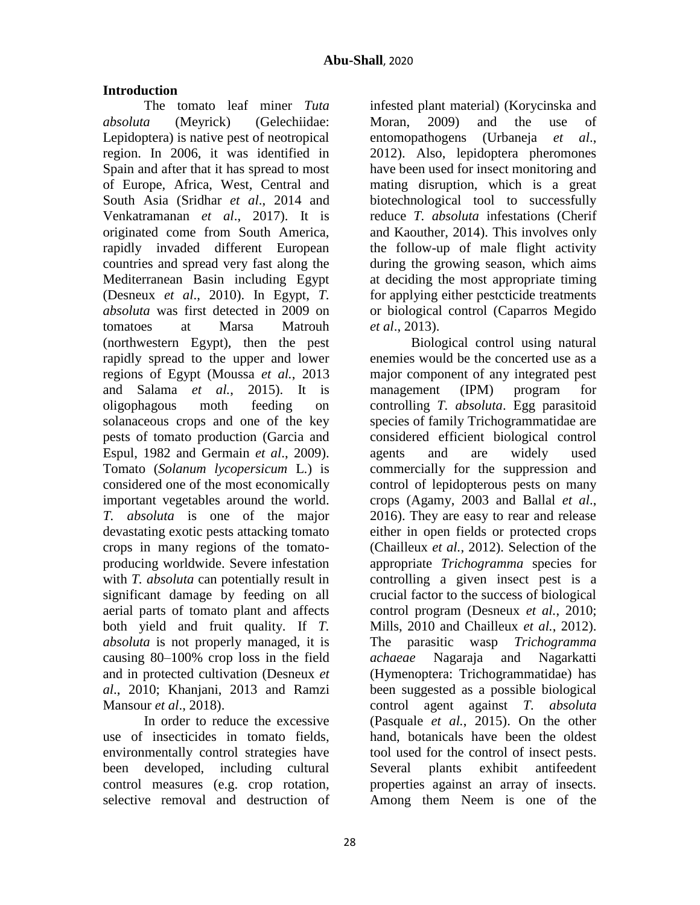# **Introduction**

The tomato leaf miner *Tuta absoluta* (Meyrick) (Gelechiidae: Lepidoptera) is native pest of neotropical region. In 2006, it was identified in Spain and after that it has spread to most of Europe, Africa, West, Central and South Asia (Sridhar *et al*., 2014 and Venkatramanan *et al*., 2017). It is originated come from South America, rapidly invaded different European countries and spread very fast along the Mediterranean Basin including Egypt (Desneux *et al*., 2010). In Egypt, *T. absoluta* was first detected in 2009 on tomatoes at Marsa Matrouh (northwestern Egypt), then the pest rapidly spread to the upper and lower regions of Egypt (Moussa *et al.*, 2013 and Salama *et al.*, 2015). It is oligophagous moth feeding on solanaceous crops and one of the key pests of tomato production (Garcia and Espul, 1982 and Germain *et al*., 2009). Tomato (*Solanum lycopersicum* L.) is considered one of the most economically important vegetables around the world. *T. absoluta* is one of the major devastating exotic pests attacking tomato crops in many regions of the tomatoproducing worldwide. Severe infestation with *T. absoluta* can potentially result in significant damage by feeding on all aerial parts of tomato plant and affects both yield and fruit quality. If *T. absoluta* is not properly managed, it is causing 80–100% crop loss in the field and in protected cultivation (Desneux *et al*., 2010; Khanjani, 2013 and Ramzi Mansour *et al*., 2018).

In order to reduce the excessive use of insecticides in tomato fields, environmentally control strategies have been developed, including cultural control measures (e.g. crop rotation, selective removal and destruction of

infested plant material) (Korycinska and Moran, 2009) and the use of entomopathogens (Urbaneja *et al*., 2012). Also, lepidoptera pheromones have been used for insect monitoring and mating disruption, which is a great biotechnological tool to successfully reduce *T. absoluta* infestations (Cherif and Kaouther, 2014). This involves only the follow-up of male flight activity during the growing season, which aims at deciding the most appropriate timing for applying either pestcticide treatments or biological control (Caparros Megido *et al*., 2013).

Biological control using natural enemies would be the concerted use as a major component of any integrated pest management (IPM) program for controlling *T. absoluta*. Egg parasitoid species of family Trichogrammatidae are considered efficient biological control agents and are widely used commercially for the suppression and control of lepidopterous pests on many crops (Agamy, 2003 and Ballal *et al*., 2016). They are easy to rear and release either in open fields or protected crops (Chailleux *et al.*, 2012). Selection of the appropriate *Trichogramma* species for controlling a given insect pest is a crucial factor to the success of biological control program (Desneux *et al.*, 2010; Mills, 2010 and Chailleux *et al.*, 2012). The parasitic wasp *Trichogramma achaeae* Nagaraja and Nagarkatti (Hymenoptera: Trichogrammatidae) has been suggested as a possible biological control agent against *T. absoluta*  (Pasquale *et al.*, 2015). On the other hand, botanicals have been the oldest tool used for the control of insect pests. Several plants exhibit antifeedent properties against an array of insects. Among them Neem is one of the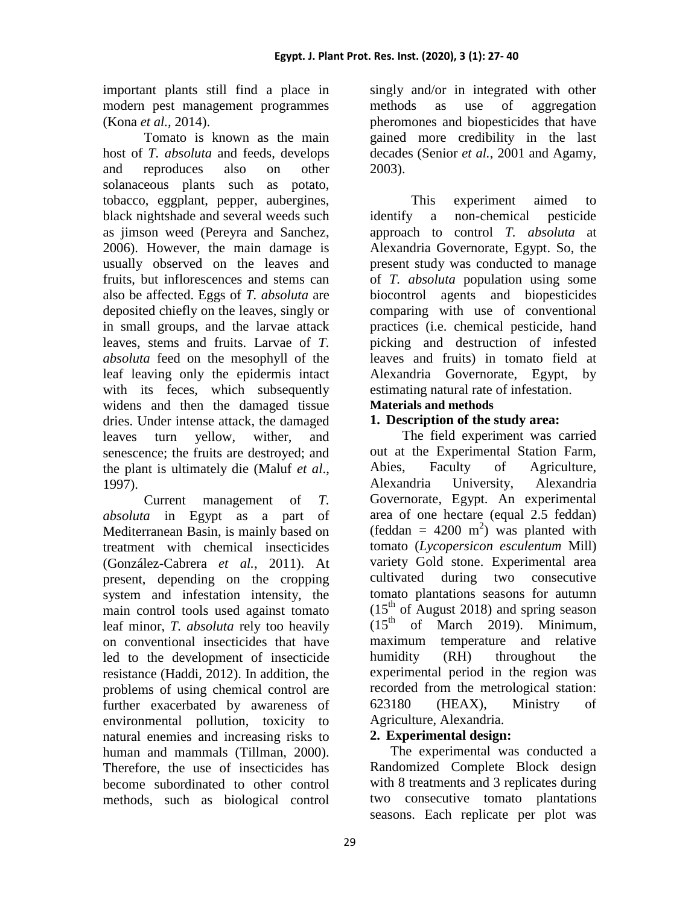important plants still find a place in modern pest management programmes (Kona *et al.,* 2014).

Tomato is known as the main host of *T. absoluta* and feeds, develops and reproduces also on other solanaceous plants such as potato, tobacco, eggplant, pepper, aubergines, black nightshade and several weeds such as jimson weed (Pereyra and Sanchez, 2006). However, the main damage is usually observed on the leaves and fruits, but inflorescences and stems can also be affected. Eggs of *T. absoluta* are deposited chiefly on the leaves, singly or in small groups, and the larvae attack leaves, stems and fruits. Larvae of *T. absoluta* feed on the mesophyll of the leaf leaving only the epidermis intact with its feces, which subsequently widens and then the damaged tissue dries. Under intense attack, the damaged leaves turn yellow, wither, and senescence; the fruits are destroyed; and the plant is ultimately die (Maluf *et al*., 1997).

Current management of *T. absoluta* in Egypt as a part of Mediterranean Basin, is mainly based on treatment with chemical insecticides (González-Cabrera *et al.*, 2011). At present, depending on the cropping system and infestation intensity, the main control tools used against tomato leaf minor, *T. absoluta* rely too heavily on conventional insecticides that have led to the development of insecticide resistance (Haddi, 2012). In addition, the problems of using chemical control are further exacerbated by awareness of environmental pollution, toxicity to natural enemies and increasing risks to human and mammals (Tillman, 2000). Therefore, the use of insecticides has become subordinated to other control methods, such as biological control

singly and/or in integrated with other methods as use of aggregation pheromones and biopesticides that have gained more credibility in the last decades (Senior *et al.*, 2001 and Agamy, 2003).

This experiment aimed to identify a non-chemical pesticide approach to control *T. absoluta* at Alexandria Governorate, Egypt. So, the present study was conducted to manage of *T. absoluta* population using some biocontrol agents and biopesticides comparing with use of conventional practices (i.e. chemical pesticide, hand picking and destruction of infested leaves and fruits) in tomato field at Alexandria Governorate, Egypt, by estimating natural rate of infestation.

# **Materials and methods**

# **1. Description of the study area:**

The field experiment was carried out at the Experimental Station Farm, Abies, Faculty of Agriculture, Alexandria University, Alexandria Governorate, Egypt. An experimental area of one hectare (equal 2.5 feddan) (feddan =  $4200 \text{ m}^2$ ) was planted with tomato (*Lycopersicon esculentum* Mill) variety Gold stone. Experimental area cultivated during two consecutive tomato plantations seasons for autumn  $(15<sup>th</sup>$  of August 2018) and spring season  $(15<sup>th</sup>$  of March 2019). Minimum, maximum temperature and relative humidity (RH) throughout the experimental period in the region was recorded from the metrological station: 623180 (HEAX), Ministry of Agriculture, Alexandria.

# **2. Experimental design:**

The experimental was conducted a Randomized Complete Block design with 8 treatments and 3 replicates during two consecutive tomato plantations seasons. Each replicate per plot was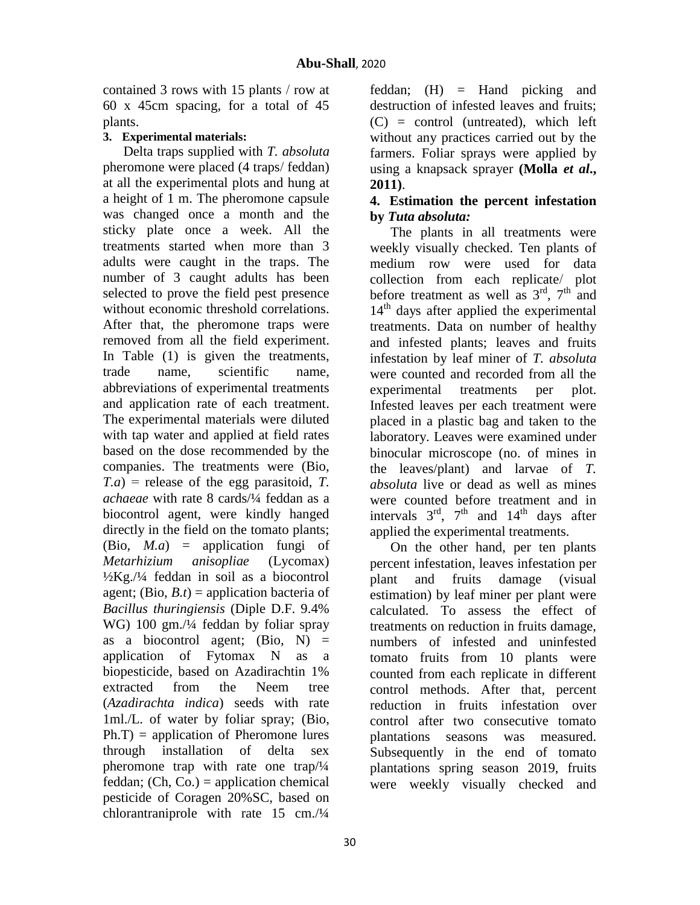contained 3 rows with 15 plants / row at 60 x 45cm spacing, for a total of 45 plants.

# **3. Experimental materials:**

Delta traps supplied with *T. absoluta*  pheromone were placed (4 traps/ feddan) at all the experimental plots and hung at a height of 1 m. The pheromone capsule was changed once a month and the sticky plate once a week. All the treatments started when more than 3 adults were caught in the traps. The number of 3 caught adults has been selected to prove the field pest presence without economic threshold correlations. After that, the pheromone traps were removed from all the field experiment. In Table (1) is given the treatments, trade name, scientific name, abbreviations of experimental treatments and application rate of each treatment. The experimental materials were diluted with tap water and applied at field rates based on the dose recommended by the companies. The treatments were (Bio, *T.a*) = release of the egg parasitoid, *T. achaeae* with rate 8 cards/¼ feddan as a biocontrol agent, were kindly hanged directly in the field on the tomato plants; (Bio, *M.a*) = application fungi of *Metarhizium anisopliae* (Lycomax)  $\frac{1}{2}Kg$ . / $\frac{1}{4}$  feddan in soil as a biocontrol agent; (Bio,  $B_t$ ) = application bacteria of *Bacillus thuringiensis* (Diple D.F. 9.4% WG) 100 gm./¼ feddan by foliar spray as a biocontrol agent;  $(Bio, N)$  = application of Fytomax N as a biopesticide, based on Azadirachtin 1% extracted from the Neem tree (*Azadirachta indica*) seeds with rate 1ml./L. of water by foliar spray; (Bio,  $Ph.T$ ) = application of Pheromone lures through installation of delta sex pheromone trap with rate one trap/¼ feddan;  $(Ch, Co.)$  = application chemical pesticide of Coragen 20%SC, based on chlorantraniprole with rate 15 cm./¼

feddan; (H) = Hand picking and destruction of infested leaves and fruits;  $(C)$  = control (untreated), which left without any practices carried out by the farmers. Foliar sprays were applied by using a knapsack sprayer **(Molla** *et al***., 2011)**.

## **4. Estimation the percent infestation by** *Tuta absoluta:*

The plants in all treatments were weekly visually checked. Ten plants of medium row were used for data collection from each replicate/ plot before treatment as well as  $3<sup>rd</sup>$ ,  $7<sup>th</sup>$  and 14<sup>th</sup> days after applied the experimental treatments. Data on number of healthy and infested plants; leaves and fruits infestation by leaf miner of *T. absoluta* were counted and recorded from all the experimental treatments per plot. Infested leaves per each treatment were placed in a plastic bag and taken to the laboratory. Leaves were examined under binocular microscope (no. of mines in the leaves/plant) and larvae of *T. absoluta* live or dead as well as mines were counted before treatment and in intervals  $3<sup>rd</sup>$ ,  $7<sup>th</sup>$  and  $14<sup>th</sup>$  days after applied the experimental treatments.

On the other hand, per ten plants percent infestation, leaves infestation per plant and fruits damage (visual estimation) by leaf miner per plant were calculated. To assess the effect of treatments on reduction in fruits damage, numbers of infested and uninfested tomato fruits from 10 plants were counted from each replicate in different control methods. After that, percent reduction in fruits infestation over control after two consecutive tomato plantations seasons was measured. Subsequently in the end of tomato plantations spring season 2019, fruits were weekly visually checked and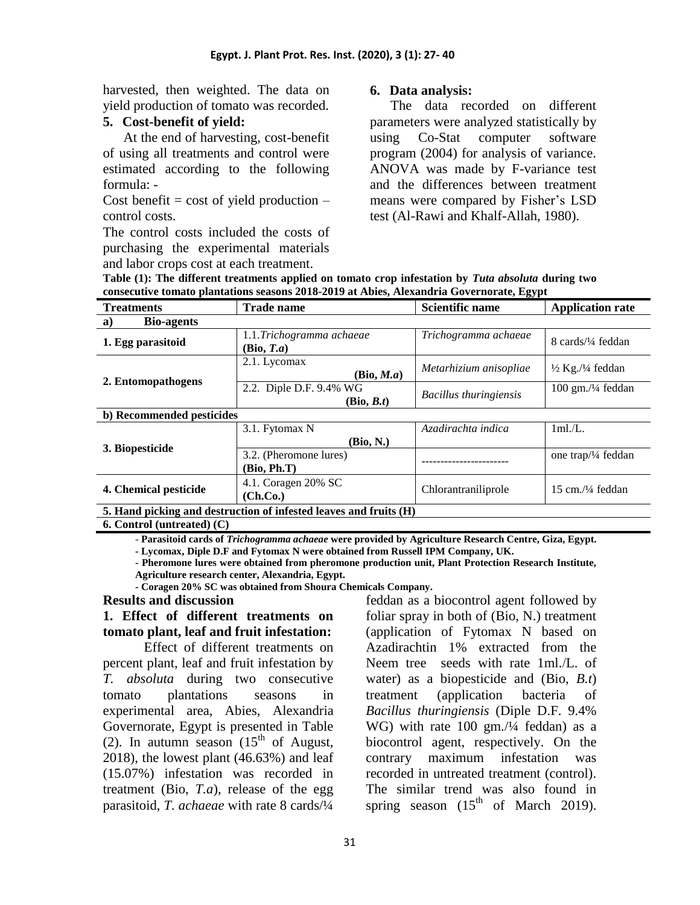harvested, then weighted. The data on yield production of tomato was recorded.

### **5. Cost-benefit of yield:**

At the end of harvesting, cost-benefit of using all treatments and control were estimated according to the following formula: -

Cost benefit  $=$  cost of yield production  $$ control costs.

The control costs included the costs of purchasing the experimental materials and labor crops cost at each treatment.

### **6. Data analysis:**

The data recorded on different parameters were analyzed statistically by using Co-Stat computer software program (2004) for analysis of variance. ANOVA was made by F-variance test and the differences between treatment means were compared by Fisher's LSD test (Al-Rawi and Khalf-Allah, 1980).

**Table (1): The different treatments applied on tomato crop infestation by** *Tuta absoluta* **during two consecutive tomato plantations seasons 2018-2019 at Abies, Alexandria Governorate, Egypt**

| <b>Treatments</b>                                                 | <b>Trade name</b>        | <b>Scientific name</b>        | <b>Application rate</b>                 |  |  |  |
|-------------------------------------------------------------------|--------------------------|-------------------------------|-----------------------------------------|--|--|--|
| <b>Bio-agents</b><br>a)                                           |                          |                               |                                         |  |  |  |
|                                                                   | 1.1.Trichogramma achaeae | Trichogramma achaeae          | 8 cards/1/4 feddan                      |  |  |  |
| 1. Egg parasitoid                                                 | (Bio, T.a)               |                               |                                         |  |  |  |
| 2. Entomopathogens                                                | 2.1. Lycomax             | Metarhizium anisopliae        | $\frac{1}{2}$ Kg./ $\frac{1}{4}$ feddan |  |  |  |
|                                                                   | (Bio, M.a)               |                               |                                         |  |  |  |
|                                                                   | 2.2. Diple D.F. 9.4% WG  | <b>Bacillus</b> thuringiensis | $100$ gm./ $\frac{1}{4}$ feddan         |  |  |  |
|                                                                   | (Bio, B.t)               |                               |                                         |  |  |  |
| b) Recommended pesticides                                         |                          |                               |                                         |  |  |  |
| 3. Biopesticide                                                   | 3.1. Fytomax N           | Azadirachta indica            | 1ml/L.                                  |  |  |  |
|                                                                   | (Bio, N.)                |                               |                                         |  |  |  |
|                                                                   | 3.2. (Pheromone lures)   |                               | one trap/ $\frac{1}{4}$ feddan          |  |  |  |
|                                                                   | (Bio, Ph.T)              | ----------------              |                                         |  |  |  |
| 4. Chemical pesticide                                             | 4.1. Coragen 20% SC      |                               | 15 cm./ $\frac{1}{4}$ feddan            |  |  |  |
|                                                                   | (Ch.Co.)                 | Chlorantraniliprole           |                                         |  |  |  |
| 5. Hand picking and destruction of infested leaves and fruits (H) |                          |                               |                                         |  |  |  |

**6. Control (untreated) (C)**

- **Parasitoid cards of** *Trichogramma achaeae* **were provided by Agriculture Research Centre, Giza, Egypt.** 

**- Lycomax, Diple D.F and Fytomax N were obtained from Russell IPM Company, UK.**

**- Pheromone lures were obtained from pheromone production unit, Plant Protection Research Institute, Agriculture research center, Alexandria, Egypt.** 

**- Coragen 20% SC was obtained from Shoura Chemicals Company.**

### **Results and discussion**

# **1. Effect of different treatments on tomato plant, leaf and fruit infestation:**

Effect of different treatments on percent plant, leaf and fruit infestation by *T. absoluta* during two consecutive tomato plantations seasons in experimental area, Abies, Alexandria Governorate, Egypt is presented in Table (2). In autumn season  $(15<sup>th</sup>$  of August, 2018), the lowest plant (46.63%) and leaf (15.07%) infestation was recorded in treatment (Bio, *T.a*), release of the egg parasitoid, *T. achaeae* with rate 8 cards/¼

feddan as a biocontrol agent followed by foliar spray in both of (Bio, N.) treatment (application of Fytomax N based on Azadirachtin 1% extracted from the Neem tree seeds with rate 1ml./L. of water) as a biopesticide and (Bio, *B.t*) treatment (application bacteria of *Bacillus thuringiensis* (Diple D.F. 9.4% WG) with rate 100 gm./¼ feddan) as a biocontrol agent, respectively. On the contrary maximum infestation was recorded in untreated treatment (control). The similar trend was also found in spring season  $(15<sup>th</sup>$  of March 2019).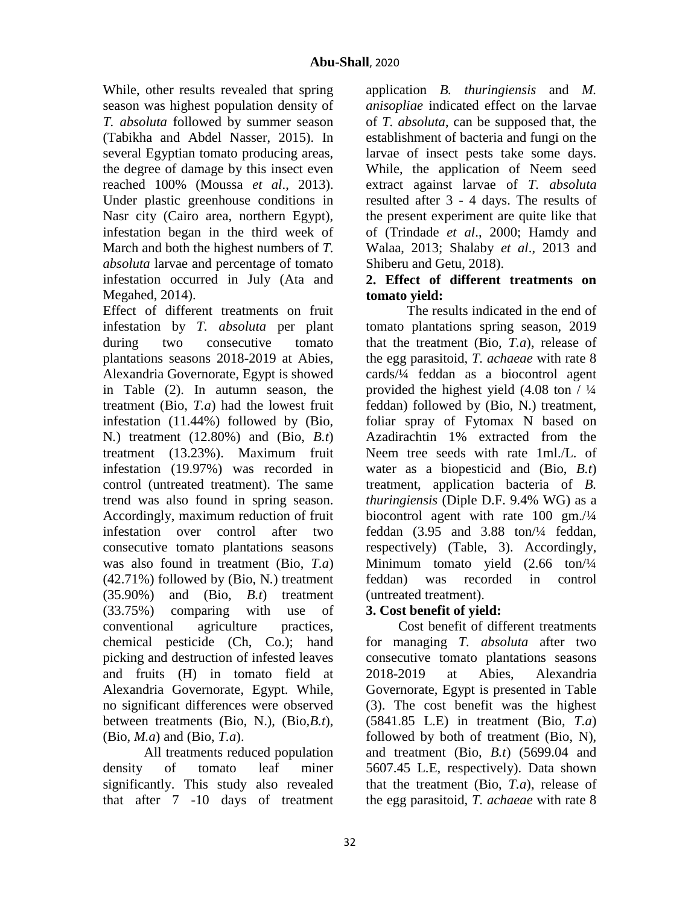While, other results revealed that spring season was highest population density of *T. absoluta* followed by summer season (Tabikha and Abdel Nasser, 2015). In several Egyptian tomato producing areas, the degree of damage by this insect even reached 100% (Moussa *et al*., 2013). Under plastic greenhouse conditions in Nasr city (Cairo area, northern Egypt), infestation began in the third week of March and both the highest numbers of *T. absoluta* larvae and percentage of tomato infestation occurred in July (Ata and Megahed, 2014).

Effect of different treatments on fruit infestation by *T. absoluta* per plant during two consecutive tomato plantations seasons 2018-2019 at Abies, Alexandria Governorate, Egypt is showed in Table (2). In autumn season, the treatment (Bio, *T.a*) had the lowest fruit infestation (11.44%) followed by (Bio, N*.*) treatment (12.80%) and (Bio, *B.t*) treatment (13.23%). Maximum fruit infestation (19.97%) was recorded in control (untreated treatment). The same trend was also found in spring season. Accordingly, maximum reduction of fruit infestation over control after two consecutive tomato plantations seasons was also found in treatment (Bio, *T.a*) (42.71%) followed by (Bio, N*.*) treatment  $(35.90\%)$  and  $(Bio, B.t)$  treatment (33.75%) comparing with use of conventional agriculture practices, chemical pesticide (Ch, Co.); hand picking and destruction of infested leaves and fruits (H) in tomato field at Alexandria Governorate, Egypt. While, no significant differences were observed between treatments (Bio, N.), (Bio,*B.t*), (Bio, *M.a*) and (Bio, *T.a*).

All treatments reduced population density of tomato leaf miner significantly. This study also revealed that after 7 -10 days of treatment

application *B. thuringiensis* and *M. anisopliae* indicated effect on the larvae of *T. absoluta*, can be supposed that, the establishment of bacteria and fungi on the larvae of insect pests take some days. While, the application of Neem seed extract against larvae of *T. absoluta* resulted after 3 - 4 days. The results of the present experiment are quite like that of (Trindade *et al*., 2000; Hamdy and Walaa, 2013; Shalaby *et al*., 2013 and Shiberu and Getu, 2018).

# **2. Effect of different treatments on tomato yield:**

The results indicated in the end of tomato plantations spring season, 2019 that the treatment (Bio, *T.a*), release of the egg parasitoid, *T. achaeae* with rate 8 cards/¼ feddan as a biocontrol agent provided the highest yield (4.08 ton / ¼ feddan) followed by (Bio, N.) treatment, foliar spray of Fytomax N based on Azadirachtin 1% extracted from the Neem tree seeds with rate 1ml./L. of water as a biopesticid and (Bio, *B.t*) treatment, application bacteria of *B. thuringiensis* (Diple D.F. 9.4% WG) as a biocontrol agent with rate 100 gm./¼ feddan (3.95 and 3.88 ton/¼ feddan, respectively) (Table, 3). Accordingly, Minimum tomato yield (2.66 ton/1/4) feddan) was recorded in control (untreated treatment).

# **3. Cost benefit of yield:**

Cost benefit of different treatments for managing *T. absoluta* after two consecutive tomato plantations seasons 2018-2019 at Abies, Alexandria Governorate, Egypt is presented in Table (3). The cost benefit was the highest (5841.85 L.E) in treatment (Bio, *T.a*) followed by both of treatment (Bio, N), and treatment (Bio, *B.t*) (5699.04 and 5607.45 L.E, respectively). Data shown that the treatment (Bio, *T.a*), release of the egg parasitoid, *T. achaeae* with rate 8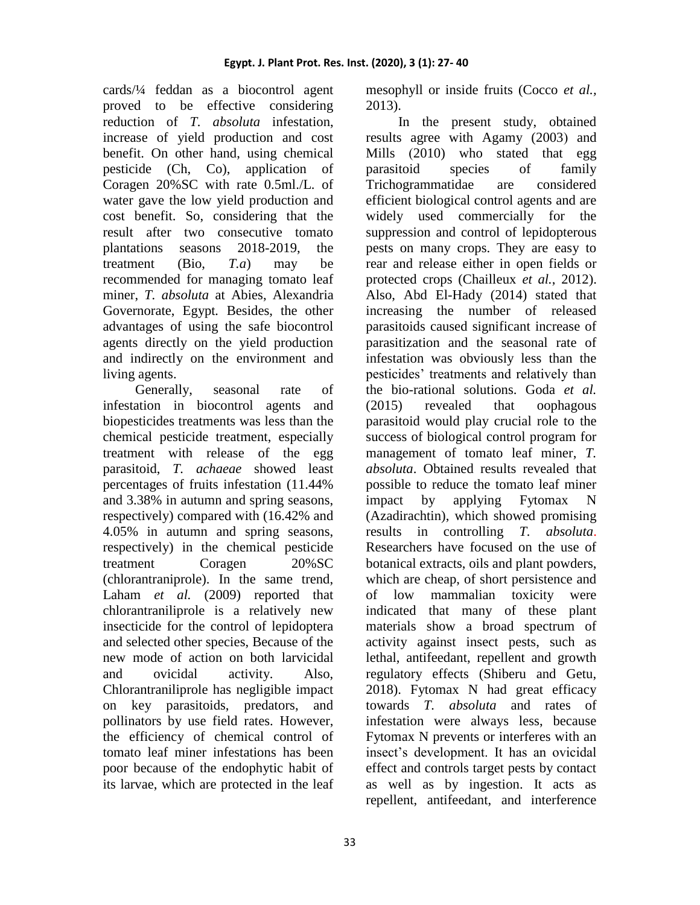2013).

cards/¼ feddan as a biocontrol agent proved to be effective considering reduction of *T. absoluta* infestation, increase of yield production and cost benefit. On other hand, using chemical pesticide (Ch, Co), application of Coragen 20%SC with rate 0.5ml./L. of water gave the low yield production and cost benefit. So, considering that the result after two consecutive tomato plantations seasons 2018-2019, the treatment (Bio, *T.a*) may be recommended for managing tomato leaf miner, *T. absoluta* at Abies, Alexandria Governorate, Egypt*.* Besides, the other advantages of using the safe biocontrol agents directly on the yield production and indirectly on the environment and living agents.

Generally, seasonal rate of infestation in biocontrol agents and biopesticides treatments was less than the chemical pesticide treatment, especially treatment with release of the egg parasitoid, *T. achaeae* showed least percentages of fruits infestation (11.44% and 3.38% in autumn and spring seasons, respectively) compared with (16.42% and 4.05% in autumn and spring seasons, respectively) in the chemical pesticide treatment Coragen 20%SC (chlorantraniprole). In the same trend, Laham *et al.* (2009) reported that chlorantraniliprole is a relatively new insecticide for the control of lepidoptera and selected other species, Because of the new mode of action on both larvicidal and ovicidal activity. Also, Chlorantraniliprole has negligible impact on key parasitoids, predators, and pollinators by use field rates. However, the efficiency of chemical control of tomato leaf miner infestations has been poor because of the endophytic habit of its larvae, which are protected in the leaf In the present study, obtained

mesophyll or inside fruits (Cocco *et al.,*

results agree with Agamy (2003) and Mills (2010) who stated that egg parasitoid species of family Trichogrammatidae are considered efficient biological control agents and are widely used commercially for the suppression and control of lepidopterous pests on many crops. They are easy to rear and release either in open fields or protected crops (Chailleux *et al.*, 2012). Also, Abd El-Hady (2014) stated that increasing the number of released parasitoids caused significant increase of parasitization and the seasonal rate of infestation was obviously less than the pesticides' treatments and relatively than the bio-rational solutions. Goda *et al.* (2015) revealed that oophagous parasitoid would play crucial role to the success of biological control program for management of tomato leaf miner, *T. absoluta*. Obtained results revealed that possible to reduce the tomato leaf miner impact by applying Fytomax N (Azadirachtin), which showed promising results in controlling *T. absoluta*. Researchers have focused on the use of botanical extracts, oils and plant powders, which are cheap, of short persistence and of low mammalian toxicity were indicated that many of these plant materials show a broad spectrum of activity against insect pests, such as lethal, antifeedant, repellent and growth regulatory effects (Shiberu and Getu, 2018). Fytomax N had great efficacy towards *T. absoluta* and rates of infestation were always less, because Fytomax N prevents or interferes with an insect's development. It has an ovicidal effect and controls target pests by contact as well as by ingestion. It acts as repellent, antifeedant, and interference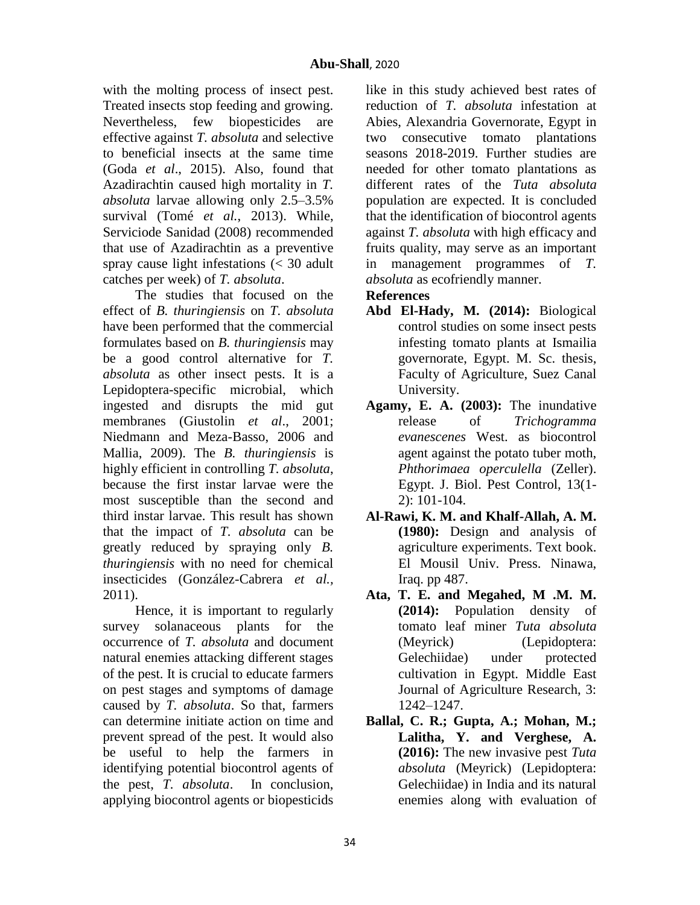with the molting process of insect pest. Treated insects stop feeding and growing. Nevertheless, few biopesticides are effective against *T. absoluta* and selective to beneficial insects at the same time (Goda *et al*., 2015). Also, found that Azadirachtin caused high mortality in *T. absoluta* larvae allowing only 2.5–3.5% survival (Tomé *et al.*, 2013). While, Serviciode Sanidad (2008) recommended that use of Azadirachtin as a preventive spray cause light infestations (< 30 adult catches per week) of *T. absoluta*.

The studies that focused on the effect of *B. thuringiensis* on *T. absoluta* have been performed that the commercial formulates based on *B. thuringiensis* may be a good control alternative for *T. absoluta* as other insect pests. It is a Lepidoptera-specific microbial, which ingested and disrupts the mid gut membranes (Giustolin *et al*., 2001; Niedmann and Meza-Basso, 2006 and Mallia, 2009). The *B. thuringiensis* is highly efficient in controlling *T. absoluta*, because the first instar larvae were the most susceptible than the second and third instar larvae. This result has shown that the impact of *T. absoluta* can be greatly reduced by spraying only *B. thuringiensis* with no need for chemical insecticides (González-Cabrera *et al.,*  2011).

Hence, it is important to regularly survey solanaceous plants for the occurrence of *T. absoluta* and document natural enemies attacking different stages of the pest. It is crucial to educate farmers on pest stages and symptoms of damage caused by *T. absoluta*. So that, farmers can determine initiate action on time and prevent spread of the pest. It would also be useful to help the farmers in identifying potential biocontrol agents of the pest, *T. absoluta*. In conclusion, applying biocontrol agents or biopesticids like in this study achieved best rates of reduction of *T. absoluta* infestation at Abies, Alexandria Governorate, Egypt in two consecutive tomato plantations seasons 2018-2019. Further studies are needed for other tomato plantations as different rates of the *Tuta absoluta* population are expected. It is concluded that the identification of biocontrol agents against *T. absoluta* with high efficacy and fruits quality, may serve as an important in management programmes of *T. absoluta* as ecofriendly manner.

# **References**

- **Abd El-Hady, M. (2014):** Biological control studies on some insect pests infesting tomato plants at Ismailia governorate, Egypt. M. Sc. thesis, Faculty of Agriculture, Suez Canal University.
- **Agamy, E. A. (2003):** The inundative release of *Trichogramma evanescenes* West. as biocontrol agent against the potato tuber moth, *Phthorimaea operculella* (Zeller). Egypt. J. Biol. Pest Control, 13(1- 2): 101-104.
- **Al-Rawi, K. M. and Khalf-Allah, A. M. (1980):** Design and analysis of agriculture experiments. Text book. El Mousil Univ. Press. Ninawa, Iraq. pp 487.
- **Ata, T. E. and Megahed, M .M. M. (2014):** Population density of tomato leaf miner *Tuta absoluta*  (Meyrick) (Lepidoptera: Gelechiidae) under protected cultivation in Egypt. Middle East Journal of Agriculture Research, 3: 1242–1247.
- **Ballal, C. R.; Gupta, A.; Mohan, M.; Lalitha, Y. and Verghese, A. (2016):** The new invasive pest *Tuta absoluta* (Meyrick) (Lepidoptera: Gelechiidae) in India and its natural enemies along with evaluation of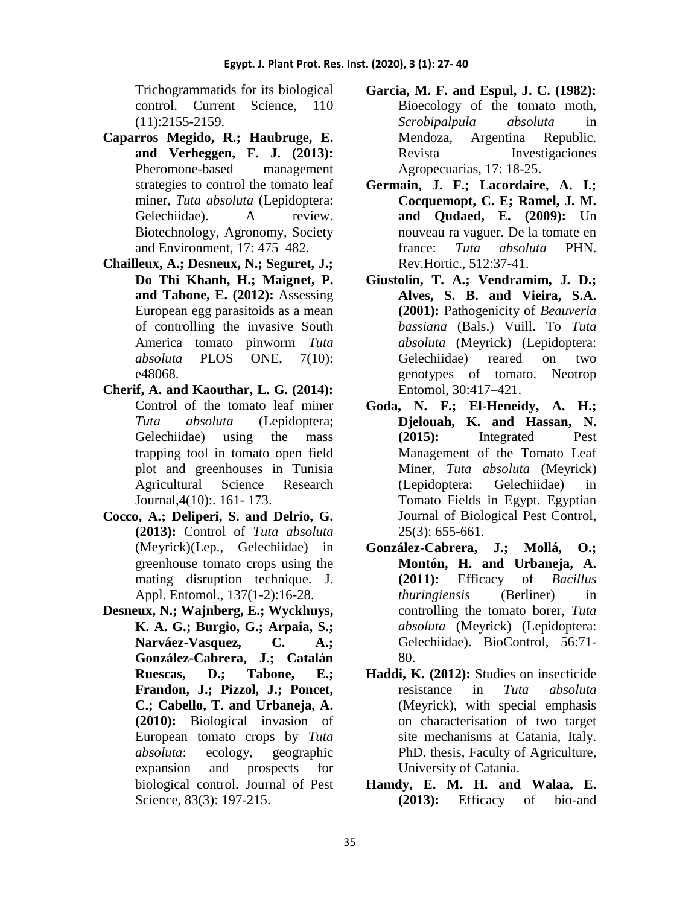Trichogrammatids for its biological control. Current Science, 110 (11):2155-2159.

- **Caparros Megido, R.; Haubruge, E. and Verheggen, F. J. (2013):** Pheromone-based management strategies to control the tomato leaf miner, *Tuta absoluta* (Lepidoptera: Gelechiidae). A review. Biotechnology, Agronomy, Society and Environment, 17: 475–482.
- **Chailleux, A.; Desneux, N.; Seguret, J.; Do Thi Khanh, H.; Maignet, P. and Tabone, E. (2012):** Assessing European egg parasitoids as a mean of controlling the invasive South America tomato pinworm *Tuta absoluta* PLOS ONE, 7(10): e48068.
- **Cherif, A. and Kaouthar, L. G. (2014):** Control of the tomato leaf miner *Tuta absoluta* (Lepidoptera; Gelechiidae) using the mass trapping tool in tomato open field plot and greenhouses in Tunisia Agricultural Science Research Journal,4(10):. 161- 173.
- **Cocco, A.; Deliperi, S. and Delrio, G. (2013):** Control of *Tuta absoluta* (Meyrick)(Lep., Gelechiidae) in greenhouse tomato crops using the mating disruption technique. J. Appl. Entomol., 137(1-2):16-28.
- **Desneux, N.; Wajnberg, E.; Wyckhuys, K. A. G.; Burgio, G.; Arpaia, S.; Narváez-Vasquez, C. A.; González-Cabrera, J.; Catalán Ruescas, D.; Tabone, E.; Frandon, J.; Pizzol, J.; Poncet, C.; Cabello, T. and Urbaneja, A. (2010):** Biological invasion of European tomato crops by *Tuta absoluta*: ecology, geographic expansion and prospects for biological control. Journal of Pest Science, 83(3): 197-215.
- **Garcia, M. F. and Espul, J. C. (1982):** Bioecology of the tomato moth, *Scrobipalpula absoluta* in Mendoza, Argentina Republic. Revista Investigaciones Agropecuarias, 17: 18-25.
- **Germain, J. F.; Lacordaire, A. I.; Cocquemopt, C. E; Ramel, J. M. and Qudaed, E. (2009):** Un nouveau ra vaguer. De la tomate en france: *Tuta absoluta* PHN. Rev.Hortic., 512:37-41.
- **Giustolin, T. A.; Vendramim, J. D.; Alves, S. B. and Vieira, S.A. (2001):** Pathogenicity of *Beauveria bassiana* (Bals.) Vuill. To *Tuta absoluta* (Meyrick) (Lepidoptera: Gelechiidae) reared on two genotypes of tomato. Neotrop Entomol, 30:417–421.
- **Goda, N. F.; El-Heneidy, A. H.; Djelouah, K. and Hassan, N. (2015):** Integrated Pest Management of the Tomato Leaf Miner, *Tuta absoluta* (Meyrick) (Lepidoptera: Gelechiidae) in Tomato Fields in Egypt. Egyptian Journal of Biological Pest Control, 25(3): 655-661.
- **González-Cabrera, J.; Mollá, O.; Montón, H. and Urbaneja, A. (2011):** Efficacy of *Bacillus thuringiensis* (Berliner) in controlling the tomato borer, *Tuta absoluta* (Meyrick) (Lepidoptera: Gelechiidae). BioControl, 56:71- 80.
- **Haddi, K. (2012):** Studies on insecticide resistance in *Tuta absoluta*  (Meyrick), with special emphasis on characterisation of two target site mechanisms at Catania, Italy. PhD. thesis, Faculty of Agriculture, University of Catania.
- **Hamdy, E. M. H. and Walaa, E. (2013):** Efficacy of bio-and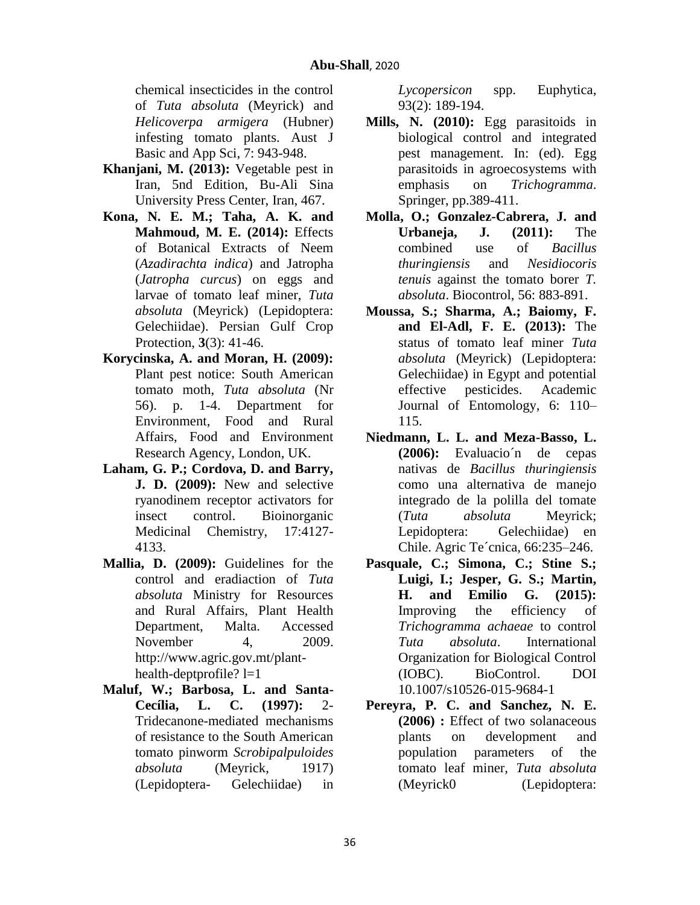chemical insecticides in the control of *Tuta absoluta* (Meyrick) and *Helicoverpa armigera* (Hubner) infesting tomato plants. Aust J Basic and App Sci, 7: 943-948.

- **Khanjani, M. (2013):** Vegetable pest in Iran, 5nd Edition, Bu-Ali Sina University Press Center, Iran, 467.
- **Kona, N. E. M.; Taha, A. K. and Mahmoud, M. E. (2014):** Effects of Botanical Extracts of Neem (*Azadirachta indica*) and Jatropha (*Jatropha curcus*) on eggs and larvae of tomato leaf miner, *Tuta absoluta* (Meyrick) (Lepidoptera: Gelechiidae). Persian Gulf Crop Protection, **3**(3): 41-46.
- **Korycinska, A. and Moran, H. (2009):** Plant pest notice: South American tomato moth, *Tuta absoluta* (Nr 56). p. 1-4. Department for Environment, Food and Rural Affairs, Food and Environment Research Agency, London, UK.
- **Laham, G. P.; Cordova, D. and Barry, J. D. (2009):** New and selective ryanodinem receptor activators for insect control. Bioinorganic Medicinal Chemistry, 17:4127- 4133.
- **Mallia, D. (2009):** Guidelines for the control and eradiaction of *Tuta absoluta* Ministry for Resources and Rural Affairs, Plant Health Department, Malta. Accessed November 4, 2009. [http://www.agric.gov.mt/plant](http://www.agric.gov.mt/plant-health-deptprofile)[health-deptprofile?](http://www.agric.gov.mt/plant-health-deptprofile)  $l=1$
- **Maluf, W.; Barbosa, L. and Santa-Cecília, L. C. (1997):** 2- Tridecanone-mediated mechanisms of resistance to the South American tomato pinworm *Scrobipalpuloides absoluta* (Meyrick, 1917) (Lepidoptera- Gelechiidae) in

*Lycopersicon* spp. Euphytica, 93(2): 189-194.

- **Mills, N. (2010):** Egg parasitoids in biological control and integrated pest management. In: (ed). Egg parasitoids in agroecosystems with emphasis on *Trichogramma*. Springer, pp.389-411.
- **Molla, O.; Gonzalez-Cabrera, J. and Urbaneja, J. (2011):** The combined use of *Bacillus thuringiensis* and *Nesidiocoris tenuis* against the tomato borer *T. absoluta*. Biocontrol, 56: 883-891.
- **Moussa, S.; Sharma, A.; Baiomy, F. and El-Adl, F. E. (2013):** The status of tomato leaf miner *Tuta absoluta* (Meyrick) (Lepidoptera: Gelechiidae) in Egypt and potential effective pesticides. Academic Journal of Entomology, 6: 110– 115.
- **Niedmann, L. L. and Meza-Basso, L. (2006):** Evaluacio´n de cepas nativas de *Bacillus thuringiensis* como una alternativa de manejo integrado de la polilla del tomate (*Tuta absoluta* Meyrick; Lepidoptera: Gelechiidae) en Chile. Agric Te´cnica, 66:235–246.
- **Pasquale, C.; Simona, C.; Stine S.; Luigi, I.; Jesper, G. S.; Martin, H. and Emilio G. (2015):** Improving the efficiency of *Trichogramma achaeae* to control *Tuta absoluta*. International Organization for Biological Control (IOBC). BioControl. DOI 10.1007/s10526-015-9684-1
- **Pereyra, P. C. and Sanchez, N. E. (2006) :** Effect of two solanaceous plants on development and population parameters of the tomato leaf miner, *Tuta absoluta*  (Meyrick0 (Lepidoptera: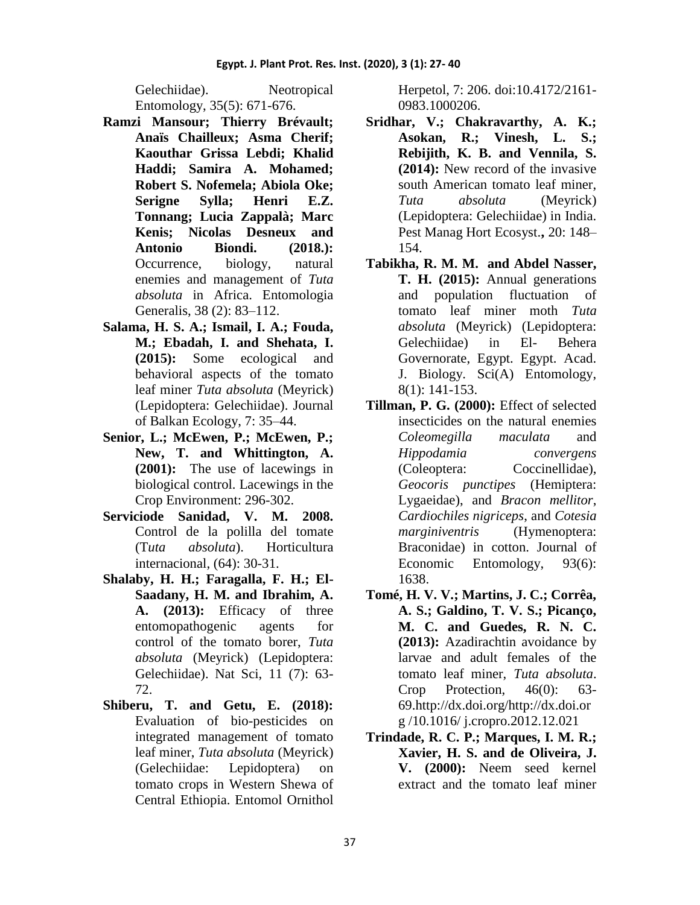Gelechiidae). Neotropical Entomology, 35(5): 671-676.

- **Ramzi Mansour; Thierry Brévault; Anaïs Chailleux; Asma Cherif; Kaouthar Grissa Lebdi; Khalid Haddi; Samira A. Mohamed; Robert S. Nofemela; Abiola Oke; Serigne Sylla; Henri E.Z. Tonnang; Lucia Zappalà; Marc Kenis; Nicolas Desneux and Antonio Biondi. (2018.):** Occurrence, biology, natural enemies and management of *Tuta absoluta* in Africa. Entomologia Generalis, 38 (2): 83–112.
- **Salama, H. S. A.; Ismail, I. A.; Fouda, M.; Ebadah, I. and Shehata, I. (2015):** Some ecological and behavioral aspects of the tomato leaf miner *Tuta absoluta* (Meyrick) (Lepidoptera: Gelechiidae). Journal of Balkan Ecology, 7: 35–44.
- **Senior, L.; McEwen, P.; McEwen, P.; New, T. and Whittington, A. (2001):** The use of lacewings in biological control. Lacewings in the Crop Environment: 296-302.
- **Serviciode Sanidad, V. M. 2008.** Control de la polilla del tomate (T*uta absoluta*). Horticultura internacional, (64): 30-31.
- **Shalaby, H. H.; Faragalla, F. H.; El-Saadany, H. M. and Ibrahim, A. A. (2013):** Efficacy of three entomopathogenic agents for control of the tomato borer, *Tuta absoluta* (Meyrick) (Lepidoptera: Gelechiidae). Nat Sci, 11 (7): 63- 72.
- **Shiberu, T. and Getu, E. (2018):** Evaluation of bio-pesticides on integrated management of tomato leaf miner, *Tuta absoluta* (Meyrick) (Gelechiidae: Lepidoptera) on tomato crops in Western Shewa of Central Ethiopia. Entomol Ornithol

Herpetol, 7: 206. doi:10.4172/2161- 0983.1000206.

- **Sridhar, V.; Chakravarthy, A. K.; Asokan, R.; Vinesh, L. S.; Rebijith, K. B. and Vennila, S. (2014):** New record of the invasive south American tomato leaf miner, *Tuta absoluta* (Meyrick) (Lepidoptera: Gelechiidae) in India. Pest Manag Hort Ecosyst.**,** 20: 148– 154.
- **Tabikha, R. M. M. and Abdel Nasser, T. H. (2015):** Annual generations and population fluctuation of tomato leaf miner moth *Tuta absoluta* (Meyrick) (Lepidoptera: Gelechiidae) in El- Behera Governorate, Egypt. Egypt. Acad. J. Biology. Sci(A) Entomology, 8(1): 141-153.
- **Tillman, P. G. (2000):** Effect of selected insecticides on the natural enemies *Coleomegilla maculata* and *Hippodamia convergens*  (Coleoptera: Coccinellidae), *Geocoris punctipes* (Hemiptera: Lygaeidae), and *Bracon mellitor*, *Cardiochiles nigriceps*, and *Cotesia marginiventris* (Hymenoptera: Braconidae) in cotton. Journal of Economic Entomology, 93(6): 1638.
- **Tomé, H. V. V.; Martins, J. C.; Corrêa, A. S.; Galdino, T. V. S.; Picanço, M. C. and Guedes, R. N. C. (2013):** Azadirachtin avoidance by larvae and adult females of the tomato leaf miner, *Tuta absoluta*. Crop Protection, 46(0): 63- 69.http://dx.doi.org/http://dx.doi.or g /10.1016/ j.cropro.2012.12.021
- **Trindade, R. C. P.; Marques, I. M. R.; Xavier, H. S. and de Oliveira, J. V. (2000):** Neem seed kernel extract and the tomato leaf miner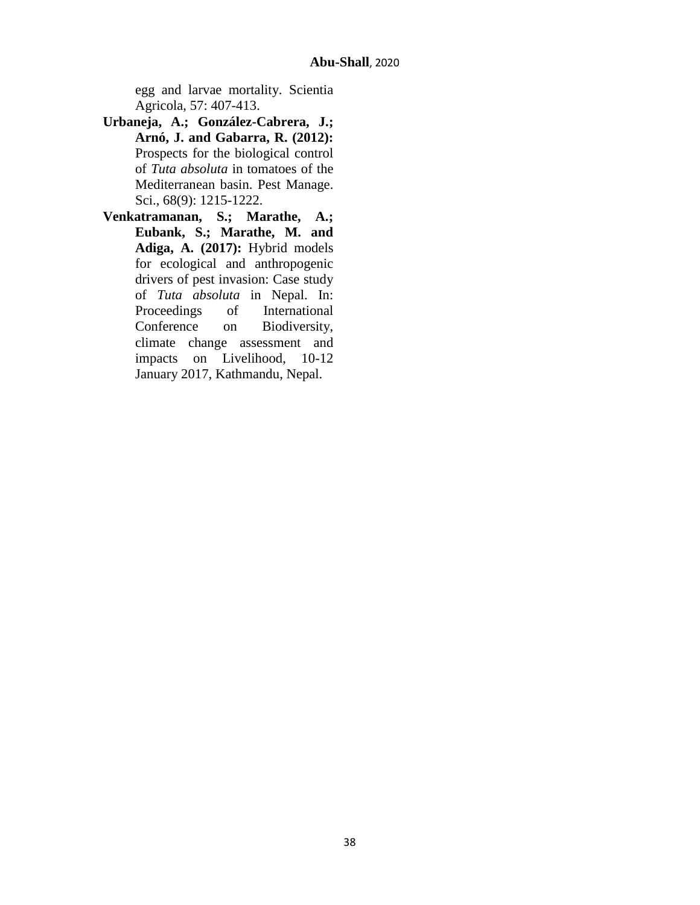egg and larvae mortality. Scientia Agricola, 57: 407-413.

- **Urbaneja, A.; González-Cabrera, J.; Arnó, J. and Gabarra, R. (2012):**  Prospects for the biological control of *Tuta absoluta* in tomatoes of the Mediterranean basin. Pest Manage. Sci., 68(9): 1215-1222.
- **Venkatramanan, S.; Marathe, A.; Eubank, S.; Marathe, M. and Adiga, A. (2017):** Hybrid models for ecological and anthropogenic drivers of pest invasion: Case study of *Tuta absoluta* in Nepal. In: Proceedings of International Conference on Biodiversity, climate change assessment and impacts on Livelihood, 10-12 January 2017, Kathmandu, Nepal.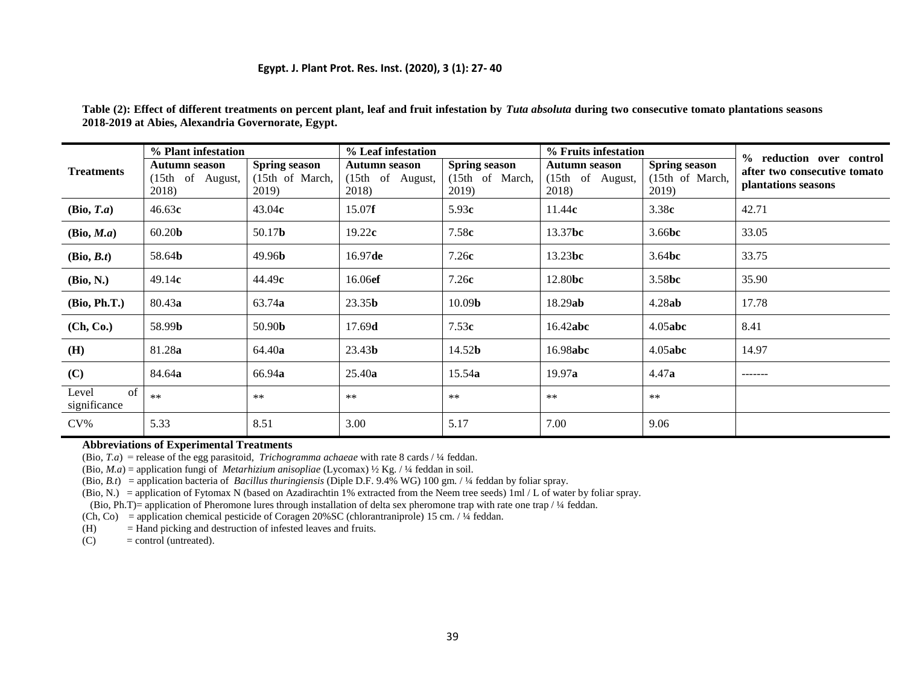#### **Egypt. J. Plant Prot. Res. Inst. (2020), 3 (1): 27- 40**

| <b>Treatments</b>           | % Plant infestation                               |                                                            | % Leaf infestation                         |                                                  | % Fruits infestation                              |                                                  | % reduction over control                            |
|-----------------------------|---------------------------------------------------|------------------------------------------------------------|--------------------------------------------|--------------------------------------------------|---------------------------------------------------|--------------------------------------------------|-----------------------------------------------------|
|                             | <b>Autumn season</b><br>(15th of August,<br>2018) | <b>Spring season</b><br>$(15th \text{ of March})$<br>2019) | Autumn season<br>(15th of August,<br>2018) | <b>Spring season</b><br>(15th of March,<br>2019) | <b>Autumn season</b><br>(15th of August,<br>2018) | <b>Spring season</b><br>(15th of March,<br>2019) | after two consecutive tomato<br>plantations seasons |
| (Bio, T.a)                  | 46.63c                                            | 43.04c                                                     | 15.07f                                     | 5.93c                                            | 11.44c                                            | 3.38c                                            | 42.71                                               |
| (Bio, M.a)                  | 60.20 <sub>b</sub>                                | 50.17 <b>b</b>                                             | 19.22c                                     | 7.58c                                            | 13.37bc                                           | 3.66 <b>bc</b>                                   | 33.05                                               |
| (Bio, B.t)                  | 58.64 <b>b</b>                                    | 49.96 <sub>b</sub>                                         | 16.97de                                    | 7.26c                                            | 13.23bc                                           | 3.64bc                                           | 33.75                                               |
| (Bio, N.)                   | 49.14c                                            | 44.49c                                                     | 16.06ef                                    | 7.26c                                            | 12.80bc                                           | 3.58bc                                           | 35.90                                               |
| (Bio, Ph.T.)                | 80.43a                                            | 63.74 <b>a</b>                                             | 23.35 <sub>b</sub>                         | 10.09 <sub>b</sub>                               | 18.29ab                                           | 4.28ab                                           | 17.78                                               |
| (Ch, Co.)                   | 58.99b                                            | 50.90 <sub>b</sub>                                         | 17.69 <sub>d</sub>                         | 7.53c                                            | 16.42abc                                          | 4.05abc                                          | 8.41                                                |
| (H)                         | 81.28a                                            | 64.40a                                                     | 23.43 <sub>b</sub>                         | 14.52 <b>b</b>                                   | 16.98abc                                          | $4.05$ abc                                       | 14.97                                               |
| (C)                         | 84.64a                                            | 66.94a                                                     | 25.40a                                     | 15.54a                                           | 19.97a                                            | 4.47a                                            | -------                                             |
| of<br>Level<br>significance | $**$                                              | $***$                                                      | $***$                                      | $***$                                            | $***$                                             | $***$                                            |                                                     |
| $CV\%$                      | 5.33                                              | 8.51                                                       | 3.00                                       | 5.17                                             | 7.00                                              | 9.06                                             |                                                     |

**Table (2): Effect of different treatments on percent plant, leaf and fruit infestation by** *Tuta absoluta* **during two consecutive tomato plantations seasons 2018-2019 at Abies, Alexandria Governorate, Egypt.**

#### **Abbreviations of Experimental Treatments**

(Bio, *T.a*) = release of the egg parasitoid, *Trichogramma achaeae* with rate 8 cards / ¼ feddan.

(Bio, *M.a*) = application fungi of *Metarhizium anisopliae* (Lycomax) ½ Kg. / ¼ feddan in soil.

(Bio, *B.t*) = application bacteria of *Bacillus thuringiensis* (Diple D.F. 9.4% WG) 100 gm. / ¼ feddan by foliar spray.

(Bio, N.) = application of Fytomax N (based on Azadirachtin 1% extracted from the Neem tree seeds) 1ml / L of water by foliar spray.

(Bio, Ph.T)= application of Pheromone lures through installation of delta sex pheromone trap with rate one trap / ¼ feddan.

(Ch, Co) = application chemical pesticide of Coragen 20%SC (chlorantraniprole) 15 cm. / ¼ feddan.

(H) = Hand picking and destruction of infested leaves and fruits.

 $(C)$  = control (untreated).